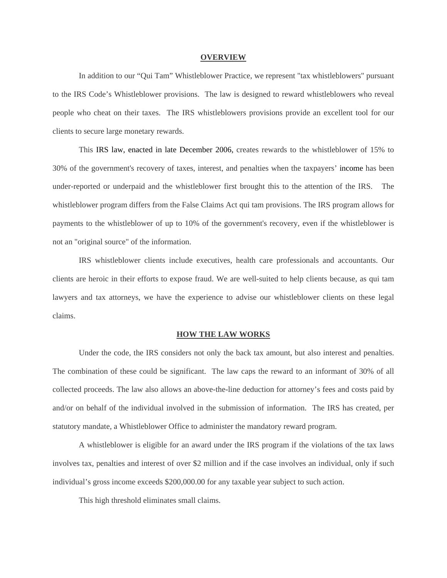## **OVERVIEW**

In addition to our "Qui Tam" Whistleblower Practice, we represent "tax whistleblowers" pursuant to the IRS Code's Whistleblower provisions. The law is designed to reward whistleblowers who reveal people who cheat on their taxes. The IRS whistleblowers provisions provide an excellent tool for our clients to secure large monetary rewards.

This IRS law, enacted in late December 2006, creates rewards to the whistleblower of 15% to 30% of the government's recovery of taxes, interest, and penalties when the taxpayers' income has been under-reported or underpaid and the whistleblower first brought this to the attention of the IRS. The whistleblower program differs from the False Claims Act qui tam provisions. The IRS program allows for payments to the whistleblower of up to 10% of the government's recovery, even if the whistleblower is not an "original source" of the information.

IRS whistleblower clients include executives, health care professionals and accountants. Our clients are heroic in their efforts to expose fraud. We are well-suited to help clients because, as qui tam lawyers and tax attorneys, we have the experience to advise our whistleblower clients on these legal claims.

## **HOW THE LAW WORKS**

Under the code, the IRS considers not only the back tax amount, but also interest and penalties. The combination of these could be significant. The law caps the reward to an informant of 30% of all collected proceeds. The law also allows an above-the-line deduction for attorney's fees and costs paid by and/or on behalf of the individual involved in the submission of information. The IRS has created, per statutory mandate, a Whistleblower Office to administer the mandatory reward program.

A whistleblower is eligible for an award under the IRS program if the violations of the tax laws involves tax, penalties and interest of over \$2 million and if the case involves an individual, only if such individual's gross income exceeds \$200,000.00 for any taxable year subject to such action.

This high threshold eliminates small claims.